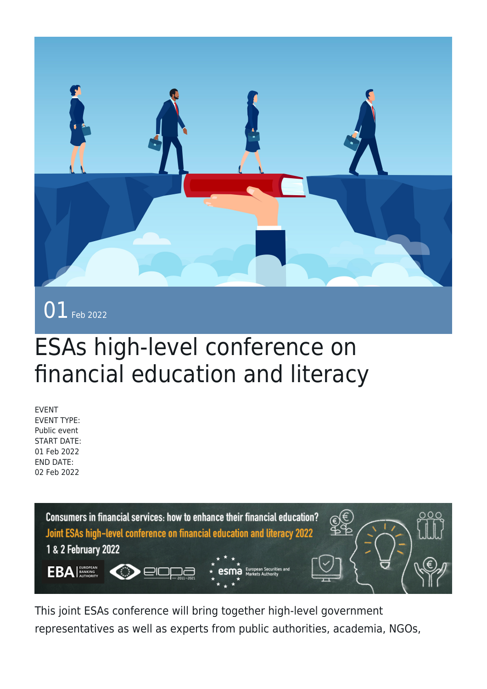

## ESAs high-level conference on financial education and literacy

EVENT EVENT TYPE: Public event START DATE: 01 Feb 2022 END DATE: 02 Feb 2022



This joint ESAs conference will bring together high-level government representatives as well as experts from public authorities, academia, NGOs,